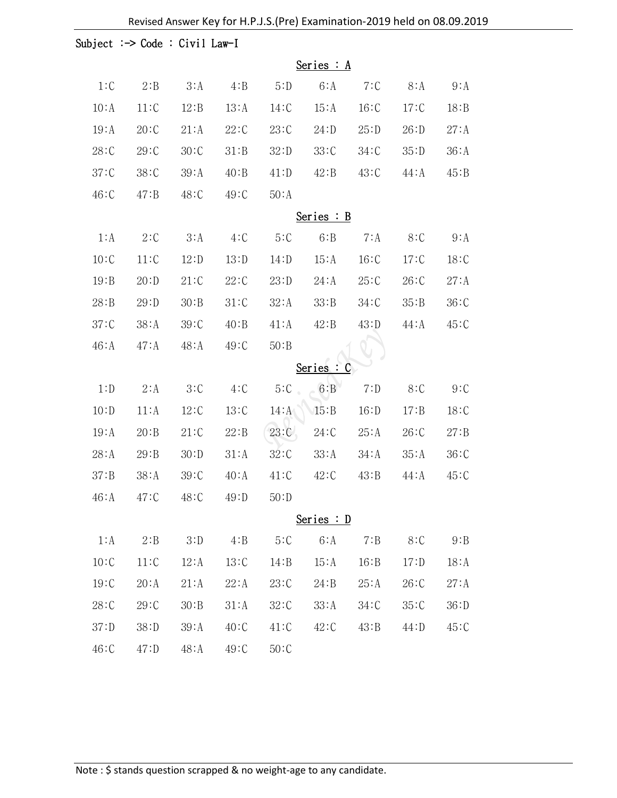|         | Subject : $\rightarrow$ Code : Civil Law-I |         |       |         |         |       |         |       |  |
|---------|--------------------------------------------|---------|-------|---------|---------|-------|---------|-------|--|
|         | Series $: A$                               |         |       |         |         |       |         |       |  |
| $1:C$   | 2:B                                        | 3:A     | 4:B   | 5:D     | 6: A    | 7:C   | 8: A    | 9:A   |  |
| 10:A    | 11:C                                       | 12:B    | 13:A  | 14:C    | 15:A    | 16:C  | 17:C    | 18:B  |  |
| 19:A    | 20:C                                       | 21:A    | 22:C  | 23:C    | 24: D   | 25:D  | 26: D   | 27:A  |  |
| 28:C    | 29:C                                       | 30:C    | 31:B  | 32:D    | 33:C    | 34:C  | 35:D    | 36:A  |  |
| 37:C    | 38:C                                       | 39:A    | 40:B  | 41:D    | 42:B    | 43:C  | $44:$ A | 45:B  |  |
| 46:C    | $47: B$                                    | 48:C    | 49:C  | 50:A    |         |       |         |       |  |
|         | Series $:B$                                |         |       |         |         |       |         |       |  |
| 1:A     | 2:C                                        | 3:A     | 4:C   | 5:C     | 6:B     | 7:4   | 8:C     | 9:A   |  |
| 10:C    | 11:C                                       | 12: D   | 13: D | 14: D   | 15:A    | 16:C  | 17:C    | 18:C  |  |
| 19:B    | 20: D                                      | 21:C    | 22:C  | 23: D   | 24:A    | 25:C  | 26:C    | 27:A  |  |
| 28:B    | 29:D                                       | 30:B    | 31:C  | 32:A    | 33:B    | 34:C  | 35:B    | 36:C  |  |
| 37:C    | 38:A                                       | 39:C    | 40:B  | 41:A    | 42:B    | 43: D | $44:$ A | 45:C  |  |
| 46:A    | $47:$ A                                    | $48:$ A | 49:C  | 50:B    |         |       |         |       |  |
|         |                                            |         |       |         | Series: |       |         |       |  |
| 1: D    | 2:A                                        | 3:C     | 4:C   | 5:C     | 6:B     | 7: D  | 8:C     | 9:C   |  |
| 10: D   | 11:A                                       | 12:C    | 13:C  | $14:$ A | 15:B    | 16: D | 17:B    | 18:C  |  |
| 19:A    | 20:B                                       | 21:C    | 22:B  | 23:C    | 24:C    | 25:A  | 26:C    | 27: B |  |
| 28:A    | 29:B                                       | 30:D    | 31:A  | 32:C    | 33:A    | 34:A  | 35:A    | 36:C  |  |
| 37: B   | 38:A                                       | 39:C    | 40:A  | 41:C    | 42:C    | 43:B  | $44:$ A | 45:C  |  |
| 46:A    | 47:C                                       | 48:C    | 49:D  | 50:D    |         |       |         |       |  |
|         | Series : D                                 |         |       |         |         |       |         |       |  |
| 1:A     | 2:B                                        | 3:D     | 4:B   | 5:C     | 6:A     | 7:B   | 8:C     | 9:B   |  |
| 10:C    | 11:C                                       | 12:A    | 13:C  | 14:B    | 15:A    | 16:B  | 17: D   | 18:A  |  |
| 19:C    | 20:A                                       | 21:A    | 22:A  | 23:C    | 24:B    | 25:A  | 26:C    | 27:A  |  |
| 28:C    | 29:C                                       | 30:B    | 31:A  | 32:C    | 33:A    | 34:C  | 35:C    | 36: D |  |
| 37:D    | 38:D                                       | 39:A    | 40:C  | 41:C    | 42:C    | 43:B  | 44: D   | 45:C  |  |
| $46:$ C | $47:$ D                                    | 48:A    | 49:C  | 50:C    |         |       |         |       |  |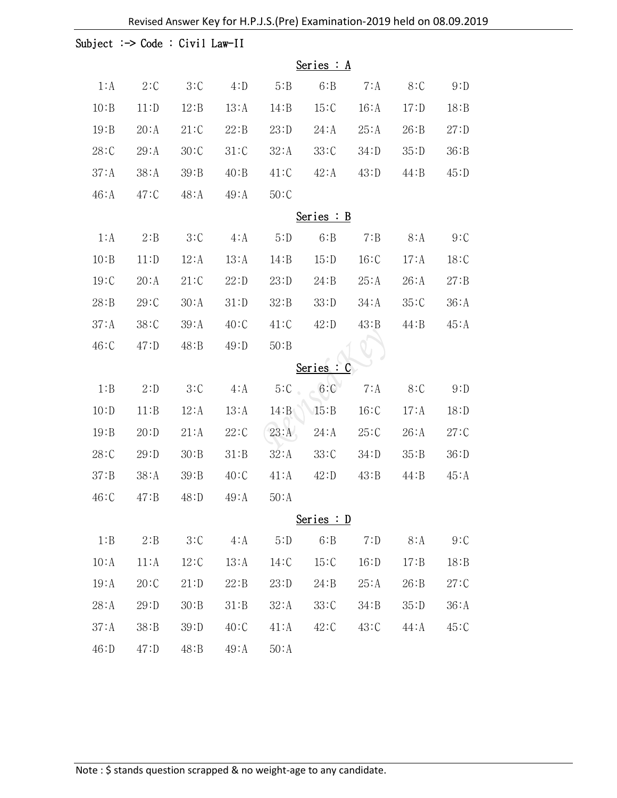|       | Subject : $\rightarrow$ Code : Civil Law-II |         |       |       |          |       |       |       |
|-------|---------------------------------------------|---------|-------|-------|----------|-------|-------|-------|
|       | Series $: A$                                |         |       |       |          |       |       |       |
| 1:A   | 2:C                                         | 3:C     | 4: D  | 5:B   | 6:B      | 7: A  | 8:C   | 9: D  |
| 10:B  | 11: D                                       | 12:B    | 13:A  | 14:B  | 15:C     | 16:A  | 17: D | 18:B  |
| 19:B  | 20:A                                        | 21:C    | 22:B  | 23: D | 24:A     | 25:A  | 26:B  | 27: D |
| 28:C  | 29:A                                        | 30:C    | 31:C  | 32:A  | 33:C     | 34:D  | 35:D  | 36:B  |
| 37:A  | 38:A                                        | 39:B    | 40:B  | 41:C  | 42:A     | 43: D | 44:B  | 45:D  |
| 46:A  | $47:$ C                                     | $48:$ A | 49:A  | 50:C  |          |       |       |       |
|       | Series $:B$                                 |         |       |       |          |       |       |       |
| 1:A   | 2:B                                         | 3:C     | 4:A   | 5:D   | 6:B      | 7:B   | 8: A  | 9:C   |
| 10:B  | 11: D                                       | 12:A    | 13:A  | 14:B  | 15: D    | 16:C  | 17:A  | 18:C  |
| 19:C  | 20:A                                        | 21:C    | 22: D | 23: D | 24:B     | 25:A  | 26:A  | 27: B |
| 28:B  | 29:C                                        | 30:A    | 31:D  | 32:B  | 33:D     | 34:A  | 35:C  | 36:A  |
| 37:A  | 38:C                                        | 39:A    | 40:C  | 41:C  | 42: D    | 43:B  | 44:B  | 45:A  |
| 46:C  | 47:D                                        | 48:B    | 49:D  | 50:B  |          |       |       |       |
|       |                                             |         |       |       | Series : | C     |       |       |
| 1:B   | 2: D                                        | 3:C     | 4:A   | 5:C   | 6:C      | 7: A  | 8:C   | 9: D  |
| 10: D | 11:B                                        | 12:A    | 13:A  | 14:B  | 15:B     | 16:C  | 17:A  | 18: D |
| 19:B  | 20: D                                       | 21:A    | 22:C  | 23:A  | 24:A     | 25:C  | 26:A  | 27:C  |
| 28:C  | 29:D                                        | 30:B    | 31:B  | 32:A  | 33:C     | 34:D  | 35:B  | 36:D  |
| 37: B | 38:A                                        | 39:B    | 40:C  | 41:A  | 42:D     | 43:B  | 44:B  | 45:A  |
| 46:C  | 47:B                                        | 48:D    | 49:A  | 50:A  |          |       |       |       |
|       | Series : D                                  |         |       |       |          |       |       |       |
| $1:B$ | 2:B                                         | 3:C     | 4: A  | 5:D   | 6:B      | 7: D  | 8:A   | 9:C   |
| 10:A  | 11:A                                        | 12:C    | 13:A  | 14:C  | 15:C     | 16: D | 17:B  | 18:B  |
| 19:A  | 20:C                                        | 21: D   | 22:B  | 23: D | 24:B     | 25:A  | 26:B  | 27:C  |
| 28:A  | 29: D                                       | 30:B    | 31:B  | 32:A  | 33:C     | 34:B  | 35:D  | 36:A  |
| 37: A | 38:B                                        | 39:D    | 40:C  | 41:A  | 42:C     | 43:C  | 44:A  | 45:C  |
| 46: D | 47:D                                        | 48:B    | 49:A  | 50:A  |          |       |       |       |